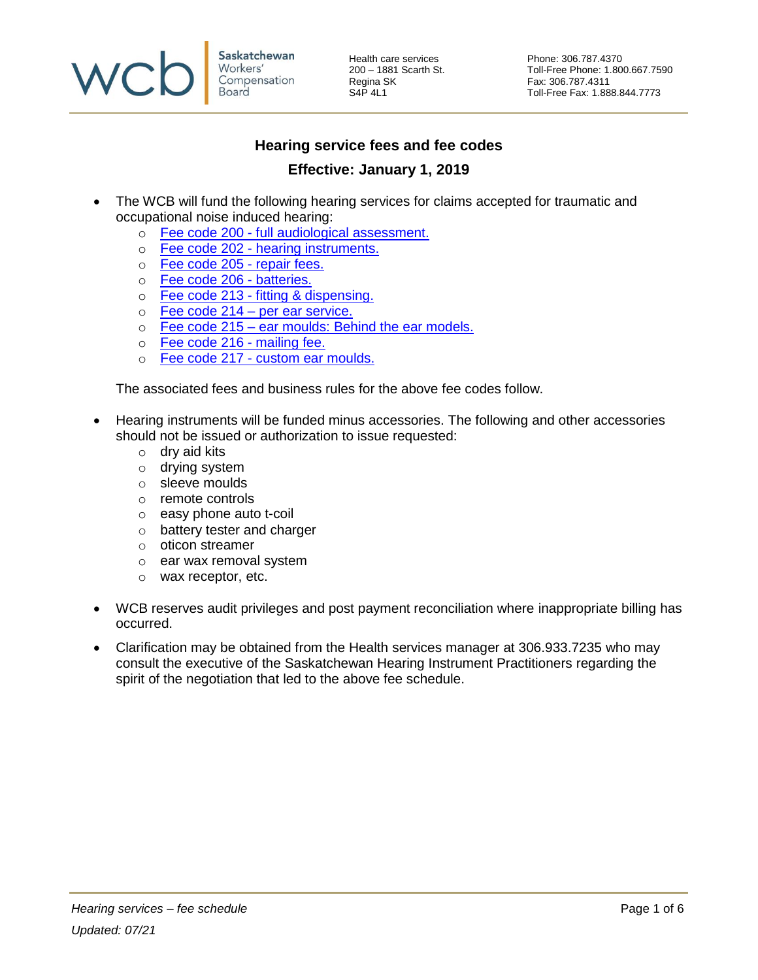

Health care services **Phone: 306.787.4370**<br>
200 - 1881 Scarth St. Toll-Free Phone: 1.80 Regina SK Fax: 306.787.4311<br>S4P 4L1 Fax: 1.88

200 – 1881 Scarth St. Toll-Free Phone: 1.800.667.7590 Toll-Free Fax: 1.888.844.7773

## **Hearing service fees and fee codes**

## **Effective: January 1, 2019**

- The WCB will fund the following hearing services for claims accepted for traumatic and occupational noise induced hearing:
	- o Fee code 200 [full audiological assessment.](#page-1-0)
	- o Fee code 202 [hearing instruments.](#page-2-0)
	- o [Fee code 205 -](#page-2-1) repair fees.
	- o [Fee code 206 -](#page-3-0) batteries.
	- o [Fee code 213 -](#page-3-1) fitting & dispensing.
	- $\circ$  [Fee code 214 –](#page-4-0) per ear service.
	- o Fee code 215 [ear moulds: Behind the ear models.](#page-5-0)
	- o [Fee code 216 -](#page-5-1) mailing fee.
	- o Fee code 217 [custom ear moulds.](#page-5-2)

The associated fees and business rules for the above fee codes follow.

- Hearing instruments will be funded minus accessories. The following and other accessories should not be issued or authorization to issue requested:
	- o dry aid kits
	- o drying system
	- o sleeve moulds
	- o remote controls
	- o easy phone auto t-coil
	- o battery tester and charger
	- o oticon streamer
	- o ear wax removal system
	- o wax receptor, etc.
- WCB reserves audit privileges and post payment reconciliation where inappropriate billing has occurred.
- Clarification may be obtained from the Health services manager at 306.933.7235 who may consult the executive of the Saskatchewan Hearing Instrument Practitioners regarding the spirit of the negotiation that led to the above fee schedule.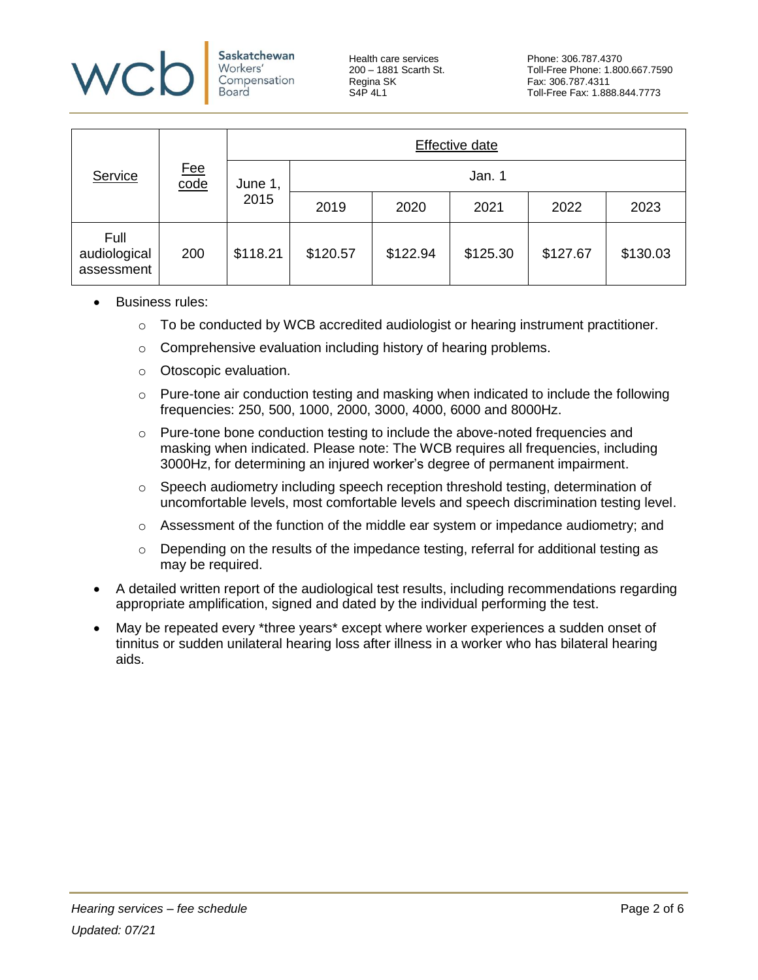

Saskatchewan Workers' Compensation Board

Health care services **Phone: 306.787.4370**<br>
200 - 1881 Scarth St. Toll-Free Phone: 1.80 Regina SK Fax: 306.787.4311<br>S4P 4L1 Fax: 1.88

|                                    |                                        |                 | Effective date |          |          |          |          |  |  |
|------------------------------------|----------------------------------------|-----------------|----------------|----------|----------|----------|----------|--|--|
| Service                            | <u>Fee</u><br>$\overline{\text{code}}$ | June 1,<br>2015 | Jan. 1         |          |          |          |          |  |  |
|                                    |                                        |                 | 2019           | 2020     | 2021     | 2022     | 2023     |  |  |
| Full<br>audiological<br>assessment | 200                                    | \$118.21        | \$120.57       | \$122.94 | \$125.30 | \$127.67 | \$130.03 |  |  |

- <span id="page-1-0"></span>• Business rules:
	- $\circ$  To be conducted by WCB accredited audiologist or hearing instrument practitioner.
	- o Comprehensive evaluation including history of hearing problems.
	- o Otoscopic evaluation.
	- $\circ$  Pure-tone air conduction testing and masking when indicated to include the following frequencies: 250, 500, 1000, 2000, 3000, 4000, 6000 and 8000Hz.
	- $\circ$  Pure-tone bone conduction testing to include the above-noted frequencies and masking when indicated. Please note: The WCB requires all frequencies, including 3000Hz, for determining an injured worker's degree of permanent impairment.
	- $\circ$  Speech audiometry including speech reception threshold testing, determination of uncomfortable levels, most comfortable levels and speech discrimination testing level.
	- $\circ$  Assessment of the function of the middle ear system or impedance audiometry; and
	- $\circ$  Depending on the results of the impedance testing, referral for additional testing as may be required.
- A detailed written report of the audiological test results, including recommendations regarding appropriate amplification, signed and dated by the individual performing the test.
- May be repeated every \*three years\* except where worker experiences a sudden onset of tinnitus or sudden unilateral hearing loss after illness in a worker who has bilateral hearing aids.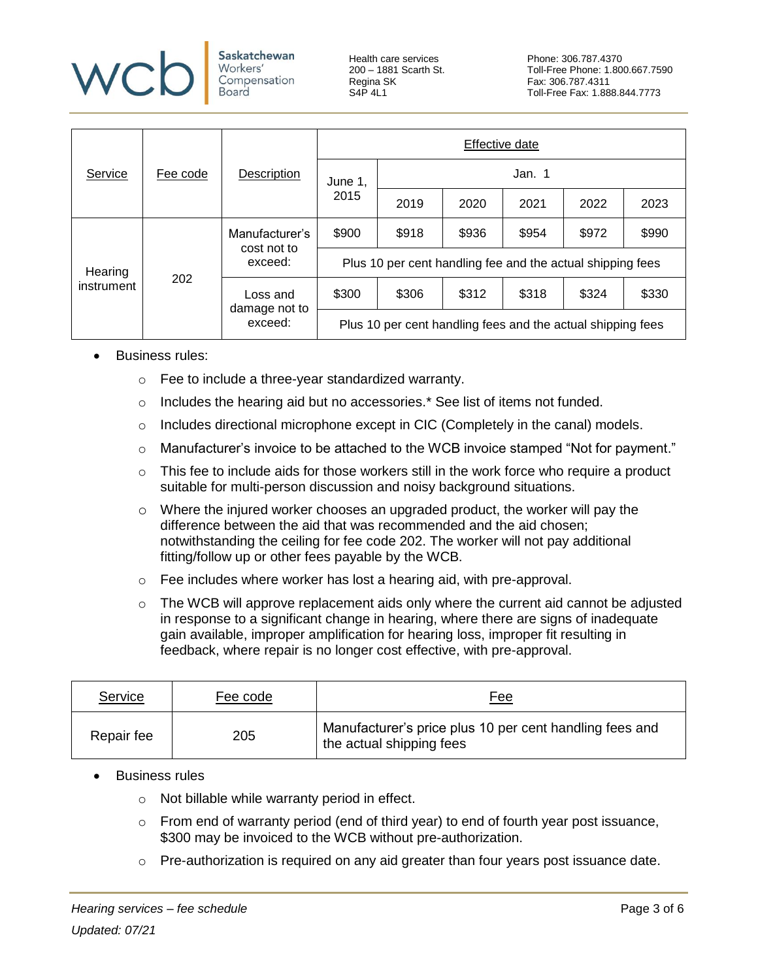

**Saskatchewan** Workers' Compensation Board

Health care services **Phone: 306.787.4370**<br>
200 - 1881 Scarth St. Toll-Free Phone: 1.80 Regina SK Fax: 306.787.4311<br>S4P 4L1 Fax: 1.88

|                       | Fee code | Description                              | Effective date                                              |        |       |       |       |       |  |
|-----------------------|----------|------------------------------------------|-------------------------------------------------------------|--------|-------|-------|-------|-------|--|
| Service               |          |                                          | June 1,<br>2015                                             | Jan. 1 |       |       |       |       |  |
|                       |          |                                          |                                                             | 2019   | 2020  | 2021  | 2022  | 2023  |  |
| Hearing<br>instrument |          | Manufacturer's<br>cost not to<br>exceed: | \$900                                                       | \$918  | \$936 | \$954 | \$972 | \$990 |  |
|                       |          |                                          | Plus 10 per cent handling fee and the actual shipping fees  |        |       |       |       |       |  |
|                       | 202      | Loss and<br>damage not to<br>exceed:     | \$300                                                       | \$306  | \$312 | \$318 | \$324 | \$330 |  |
|                       |          |                                          | Plus 10 per cent handling fees and the actual shipping fees |        |       |       |       |       |  |

- <span id="page-2-0"></span>Business rules:
	- o Fee to include a three-year standardized warranty.
	- $\circ$  Includes the hearing aid but no accessories.\* See list of items not funded.
	- $\circ$  Includes directional microphone except in CIC (Completely in the canal) models.
	- o Manufacturer's invoice to be attached to the WCB invoice stamped "Not for payment."
	- $\circ$  This fee to include aids for those workers still in the work force who require a product suitable for multi-person discussion and noisy background situations.
	- $\circ$  Where the injured worker chooses an upgraded product, the worker will pay the difference between the aid that was recommended and the aid chosen; notwithstanding the ceiling for fee code 202. The worker will not pay additional fitting/follow up or other fees payable by the WCB.
	- o Fee includes where worker has lost a hearing aid, with pre-approval.
	- $\circ$  The WCB will approve replacement aids only where the current aid cannot be adjusted in response to a significant change in hearing, where there are signs of inadequate gain available, improper amplification for hearing loss, improper fit resulting in feedback, where repair is no longer cost effective, with pre-approval.

| Service    | Fee code | <u>Fee</u>                                                                          |
|------------|----------|-------------------------------------------------------------------------------------|
| Repair fee | 205      | Manufacturer's price plus 10 per cent handling fees and<br>the actual shipping fees |

- <span id="page-2-1"></span>• Business rules
	- o Not billable while warranty period in effect.
	- $\circ$  From end of warranty period (end of third year) to end of fourth year post issuance, \$300 may be invoiced to the WCB without pre-authorization.
	- o Pre-authorization is required on any aid greater than four years post issuance date.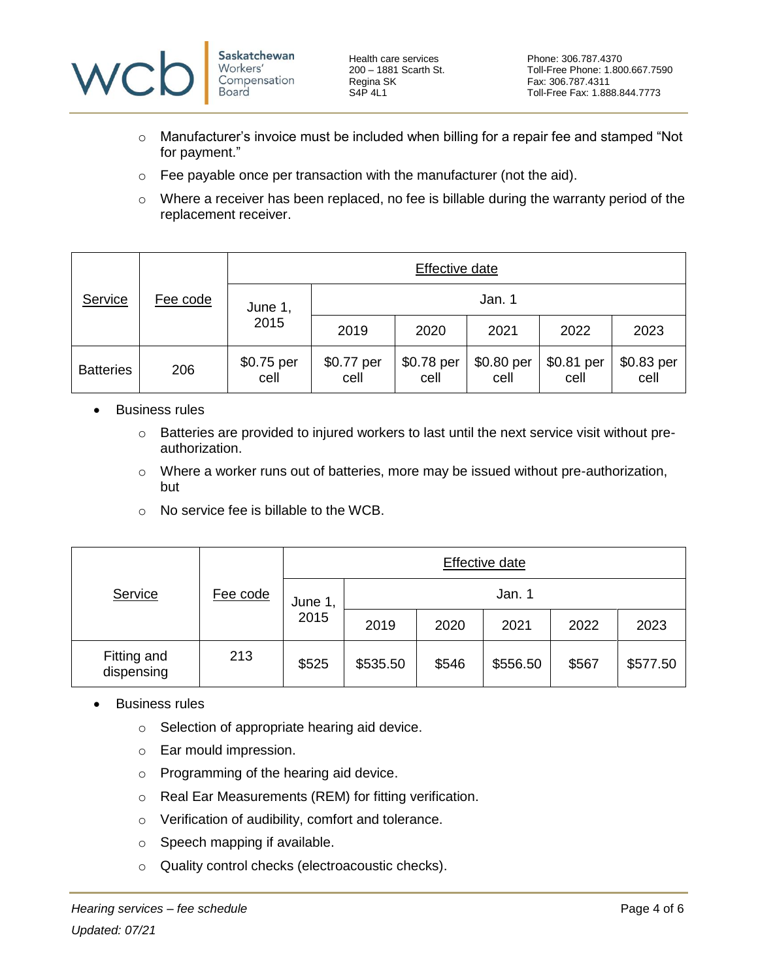

Health care services Phone: 306.787.4370<br>
200 - 1881 Scarth St. Toll-Free Phone: 1.80 Regina SK Fax: 306.787.4311<br>S4P 4L1 Fax: 1.88

- $\circ$  Manufacturer's invoice must be included when billing for a repair fee and stamped "Not for payment."
- $\circ$  Fee payable once per transaction with the manufacturer (not the aid).
- $\circ$  Where a receiver has been replaced, no fee is billable during the warranty period of the replacement receiver.

|                  |                 | Effective date     |                    |                    |                    |                    |                    |  |
|------------------|-----------------|--------------------|--------------------|--------------------|--------------------|--------------------|--------------------|--|
| Service          | <u>Fee code</u> | June 1,<br>2015    | Jan. 1             |                    |                    |                    |                    |  |
|                  |                 |                    | 2019               | 2020               | 2021               | 2022               | 2023               |  |
| <b>Batteries</b> | 206             | \$0.75 per<br>cell | \$0.77 per<br>cell | \$0.78 per<br>cell | \$0.80 per<br>cell | \$0.81 per<br>cell | \$0.83 per<br>cell |  |

- <span id="page-3-0"></span>• Business rules
	- o Batteries are provided to injured workers to last until the next service visit without preauthorization.
	- o Where a worker runs out of batteries, more may be issued without pre-authorization, but
	- $\circ$  No service fee is billable to the WCB.

|                           | Fee code | Effective date  |          |       |          |       |          |  |
|---------------------------|----------|-----------------|----------|-------|----------|-------|----------|--|
| Service                   |          | June 1,<br>2015 | Jan. 1   |       |          |       |          |  |
|                           |          |                 | 2019     | 2020  | 2021     | 2022  | 2023     |  |
| Fitting and<br>dispensing | 213      | \$525           | \$535.50 | \$546 | \$556.50 | \$567 | \$577.50 |  |

- <span id="page-3-1"></span>• Business rules
	- o Selection of appropriate hearing aid device.
	- o Ear mould impression.
	- o Programming of the hearing aid device.
	- o Real Ear Measurements (REM) for fitting verification.
	- o Verification of audibility, comfort and tolerance.
	- o Speech mapping if available.
	- o Quality control checks (electroacoustic checks).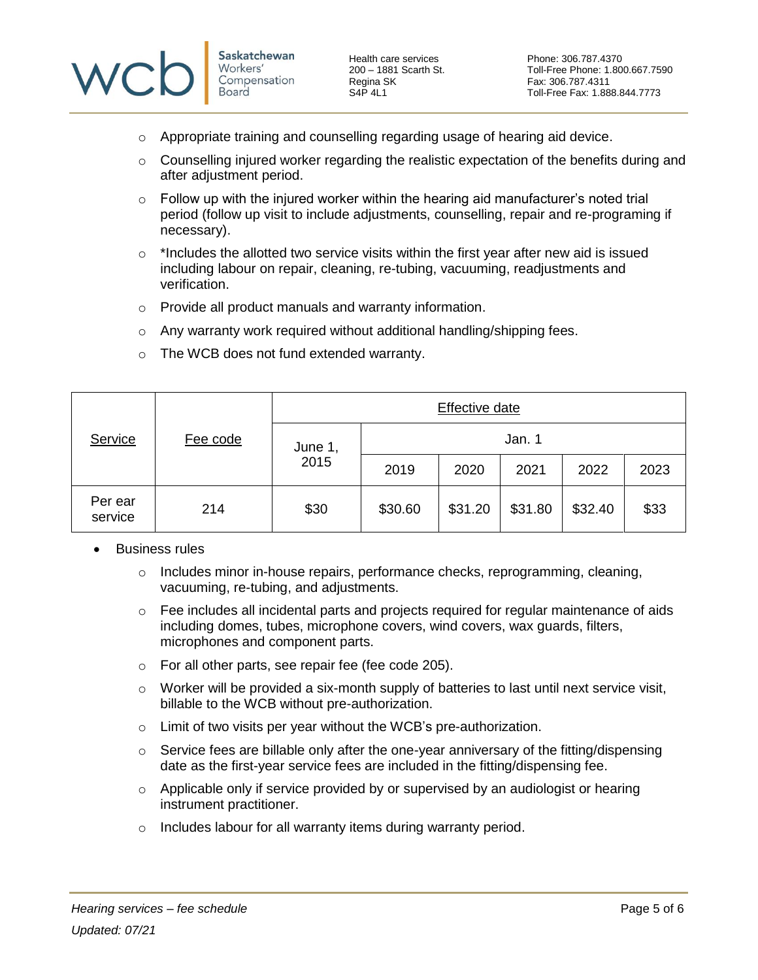

Health care services **Phone: 306.787.4370**<br>
200 - 1881 Scarth St. Toll-Free Phone: 1.80

- $\circ$  Appropriate training and counselling regarding usage of hearing aid device.
- $\circ$  Counselling injured worker regarding the realistic expectation of the benefits during and after adjustment period.
- $\circ$  Follow up with the injured worker within the hearing aid manufacturer's noted trial period (follow up visit to include adjustments, counselling, repair and re-programing if necessary).
- $\circ$  \*Includes the allotted two service visits within the first year after new aid is issued including labour on repair, cleaning, re-tubing, vacuuming, readjustments and verification.
- o Provide all product manuals and warranty information.
- $\circ$  Any warranty work required without additional handling/shipping fees.

| Service            | Fee code | Effective date  |         |         |         |         |      |  |
|--------------------|----------|-----------------|---------|---------|---------|---------|------|--|
|                    |          | June 1,<br>2015 | Jan. 1  |         |         |         |      |  |
|                    |          |                 | 2019    | 2020    | 2021    | 2022    | 2023 |  |
| Per ear<br>service | 214      | \$30            | \$30.60 | \$31.20 | \$31.80 | \$32.40 | \$33 |  |

o The WCB does not fund extended warranty.

- <span id="page-4-0"></span>• Business rules
	- $\circ$  Includes minor in-house repairs, performance checks, reprogramming, cleaning, vacuuming, re-tubing, and adjustments.
	- $\circ$  Fee includes all incidental parts and projects required for regular maintenance of aids including domes, tubes, microphone covers, wind covers, wax guards, filters, microphones and component parts.
	- o For all other parts, see repair fee (fee code 205).
	- $\circ$  Worker will be provided a six-month supply of batteries to last until next service visit, billable to the WCB without pre-authorization.
	- $\circ$  Limit of two visits per year without the WCB's pre-authorization.
	- $\circ$  Service fees are billable only after the one-year anniversary of the fitting/dispensing date as the first-year service fees are included in the fitting/dispensing fee.
	- $\circ$  Applicable only if service provided by or supervised by an audiologist or hearing instrument practitioner.
	- $\circ$  Includes labour for all warranty items during warranty period.